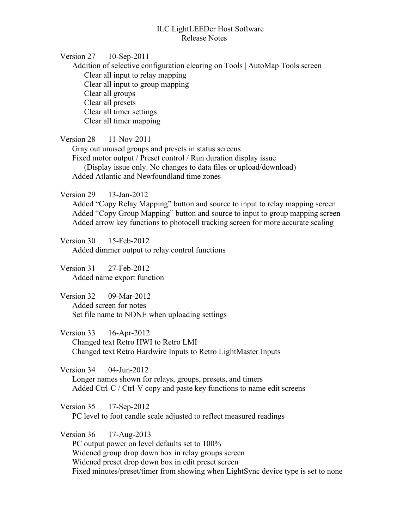## ILC LightLEEDer Host Software Release Notes

Version 27 10-Sep-2011

Addition of selective configuration clearing on Tools | AutoMap Tools screen Clear all input to relay mapping Clear all input to group mapping Clear all groups Clear all presets Clear all timer settings Clear all timer mapping

Version 28 11-Nov-2011

Gray out unused groups and presets in status screens Fixed motor output / Preset control / Run duration display issue (Display issue only. No changes to data files or upload/download) Added Atlantic and Newfoundland time zones

Version 29 13-Jan-2012

Added "Copy Relay Mapping" button and source to input to relay mapping screen Added "Copy Group Mapping" button and source to input to group mapping screen Added arrow key functions to photocell tracking screen for more accurate scaling

Version 30 15-Feb-2012 Added dimmer output to relay control functions

Version 31 27-Feb-2012 Added name export function

Version 32 09-Mar-2012 Added screen for notes Set file name to NONE when uploading settings

Version 33 16-Apr-2012 Changed text Retro HWI to Retro LMI

Changed text Retro Hardwire Inputs to Retro LightMaster Inputs

Version 34 04-Jun-2012

Longer names shown for relays, groups, presets, and timers Added Ctrl-C / Ctrl-V copy and paste key functions to name edit screens

Version 35 17-Sep-2012

PC level to foot candle scale adjusted to reflect measured readings

Version 36 17-Aug-2013

PC output power on level defaults set to 100% Widened group drop down box in relay groups screen Widened preset drop down box in edit preset screen Fixed minutes/preset/timer from showing when LightSync device type is set to none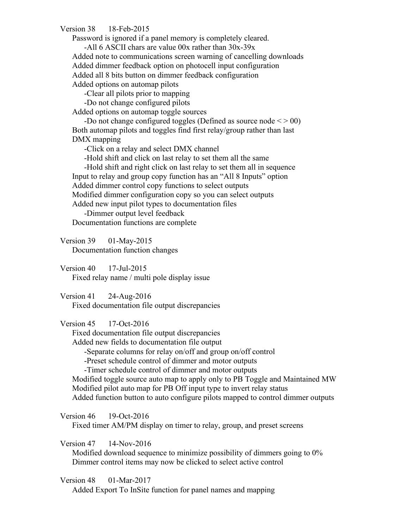Version 38 18-Feb-2015

Password is ignored if a panel memory is completely cleared.

-All 6 ASCII chars are value 00x rather than 30x-39x Added note to communications screen warning of cancelling downloads Added dimmer feedback option on photocell input configuration Added all 8 bits button on dimmer feedback configuration Added options on automap pilots

-Clear all pilots prior to mapping

-Do not change configured pilots

Added options on automap toggle sources

-Do not change configured toggles (Defined as source node  $\leq$  > 00) Both automap pilots and toggles find first relay/group rather than last DMX mapping

-Click on a relay and select DMX channel

-Hold shift and click on last relay to set them all the same

-Hold shift and right click on last relay to set them all in sequence Input to relay and group copy function has an "All 8 Inputs" option Added dimmer control copy functions to select outputs Modified dimmer configuration copy so you can select outputs Added new input pilot types to documentation files

-Dimmer output level feedback Documentation functions are complete

Version 39 01-May-2015

Documentation function changes

Version 40 17-Jul-2015 Fixed relay name / multi pole display issue

Version 41 24-Aug-2016 Fixed documentation file output discrepancies

Version 45 17-Oct-2016

Fixed documentation file output discrepancies

Added new fields to documentation file output

-Separate columns for relay on/off and group on/off control

-Preset schedule control of dimmer and motor outputs

-Timer schedule control of dimmer and motor outputs

Modified toggle source auto map to apply only to PB Toggle and Maintained MW Modified pilot auto map for PB Off input type to invert relay status Added function button to auto configure pilots mapped to control dimmer outputs

Version 46 19-Oct-2016

Fixed timer AM/PM display on timer to relay, group, and preset screens

Version 47 14-Nov-2016

Modified download sequence to minimize possibility of dimmers going to 0% Dimmer control items may now be clicked to select active control

Version 48 01-Mar-2017

Added Export To InSite function for panel names and mapping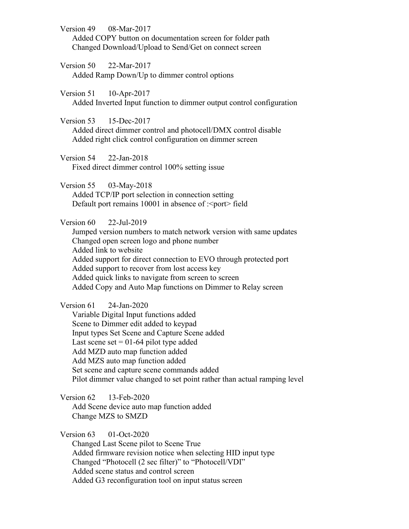Version 49 08-Mar-2017 Added COPY button on documentation screen for folder path Changed Download/Upload to Send/Get on connect screen

Version 50 22-Mar-2017 Added Ramp Down/Up to dimmer control options

Version 51 10-Apr-2017 Added Inverted Input function to dimmer output control configuration

Version 53 15-Dec-2017 Added direct dimmer control and photocell/DMX control disable Added right click control configuration on dimmer screen

Version 54 22-Jan-2018 Fixed direct dimmer control 100% setting issue

Version 55 03-May-2018 Added TCP/IP port selection in connection setting Default port remains  $10001$  in absence of : <port>field

Version 60 22-Jul-2019

Jumped version numbers to match network version with same updates Changed open screen logo and phone number Added link to website Added support for direct connection to EVO through protected port Added support to recover from lost access key Added quick links to navigate from screen to screen Added Copy and Auto Map functions on Dimmer to Relay screen

Version 61 24-Jan-2020 Variable Digital Input functions added Scene to Dimmer edit added to keypad Input types Set Scene and Capture Scene added Last scene set  $= 01-64$  pilot type added Add MZD auto map function added Add MZS auto map function added Set scene and capture scene commands added Pilot dimmer value changed to set point rather than actual ramping level

Version 62 13-Feb-2020 Add Scene device auto map function added Change MZS to SMZD

Version 63 01-Oct-2020

Changed Last Scene pilot to Scene True Added firmware revision notice when selecting HID input type Changed "Photocell (2 sec filter)" to "Photocell/VDI" Added scene status and control screen Added G3 reconfiguration tool on input status screen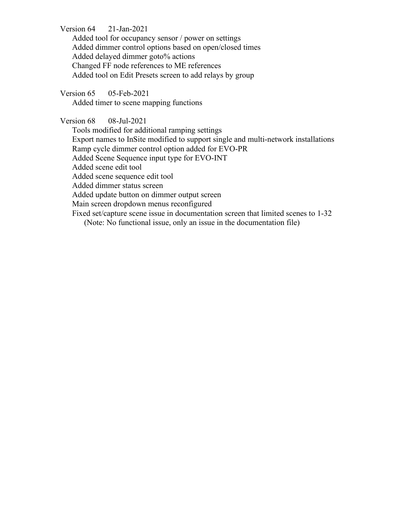Version 64 21-Jan-2021

Added tool for occupancy sensor / power on settings Added dimmer control options based on open/closed times Added delayed dimmer goto% actions Changed FF node references to ME references Added tool on Edit Presets screen to add relays by group

Version 65 05-Feb-2021 Added timer to scene mapping functions

Version 68 08-Jul-2021 Tools modified for additional ramping settings Export names to InSite modified to support single and multi-network installations Ramp cycle dimmer control option added for EVO-PR Added Scene Sequence input type for EVO-INT Added scene edit tool Added scene sequence edit tool Added dimmer status screen Added update button on dimmer output screen Main screen dropdown menus reconfigured Fixed set/capture scene issue in documentation screen that limited scenes to 1-32 (Note: No functional issue, only an issue in the documentation file)